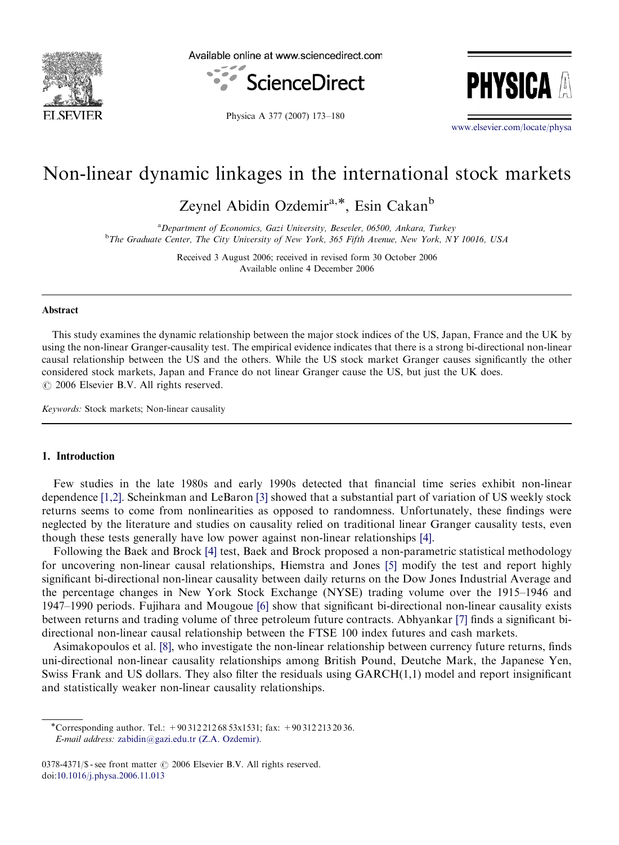

Available online at www.sciencedirect.com





Physica A 377 (2007) 173–180

<www.elsevier.com/locate/physa>

## Non-linear dynamic linkages in the international stock markets

Zeynel Abidin Ozdemir<sup>a,\*</sup>, Esin Cakan<sup>b</sup>

<sup>a</sup>Department of Economics, Gazi University, Besevler, 06500, Ankara, Turkey <sup>b</sup>The Graduate Center, The City University of New York, 365 Fifth Avenue, New York, NY 10016, USA

> Received 3 August 2006; received in revised form 30 October 2006 Available online 4 December 2006

#### Abstract

This study examines the dynamic relationship between the major stock indices of the US, Japan, France and the UK by using the non-linear Granger-causality test. The empirical evidence indicates that there is a strong bi-directional non-linear causal relationship between the US and the others. While the US stock market Granger causes significantly the other considered stock markets, Japan and France do not linear Granger cause the US, but just the UK does.  $\odot$  2006 Elsevier B.V. All rights reserved.

Keywords: Stock markets; Non-linear causality

### 1. Introduction

Few studies in the late 1980s and early 1990s detected that financial time series exhibit non-linear dependence [\[1,2\].](#page--1-0) Scheinkman and LeBaron [\[3\]](#page--1-0) showed that a substantial part of variation of US weekly stock returns seems to come from nonlinearities as opposed to randomness. Unfortunately, these findings were neglected by the literature and studies on causality relied on traditional linear Granger causality tests, even though these tests generally have low power against non-linear relationships [\[4\].](#page--1-0)

Following the Baek and Brock [\[4\]](#page--1-0) test, Baek and Brock proposed a non-parametric statistical methodology for uncovering non-linear causal relationships, Hiemstra and Jones [\[5\]](#page--1-0) modify the test and report highly significant bi-directional non-linear causality between daily returns on the Dow Jones Industrial Average and the percentage changes in New York Stock Exchange (NYSE) trading volume over the 1915–1946 and 1947–1990 periods. Fujihara and Mougoue [\[6\]](#page--1-0) show that significant bi-directional non-linear causality exists between returns and trading volume of three petroleum future contracts. Abhyankar [\[7\]](#page--1-0) finds a significant bidirectional non-linear causal relationship between the FTSE 100 index futures and cash markets.

Asimakopoulos et al. [\[8\],](#page--1-0) who investigate the non-linear relationship between currency future returns, finds uni-directional non-linear causality relationships among British Pound, Deutche Mark, the Japanese Yen, Swiss Frank and US dollars. They also filter the residuals using GARCH(1,1) model and report insignificant and statistically weaker non-linear causality relationships.

<sup>-</sup>Corresponding author. Tel.: +90 312 212 68 53x1531; fax: +90 312 213 20 36. E-mail address: [zabidin@gazi.edu.tr \(Z.A. Ozdemir\).](mailto:zabidin@gazi.edu.tr)

<sup>0378-4371/\$ -</sup> see front matter  $\odot$  2006 Elsevier B.V. All rights reserved. doi:[10.1016/j.physa.2006.11.013](dx.doi.org/10.1016/j.physa.2006.11.013)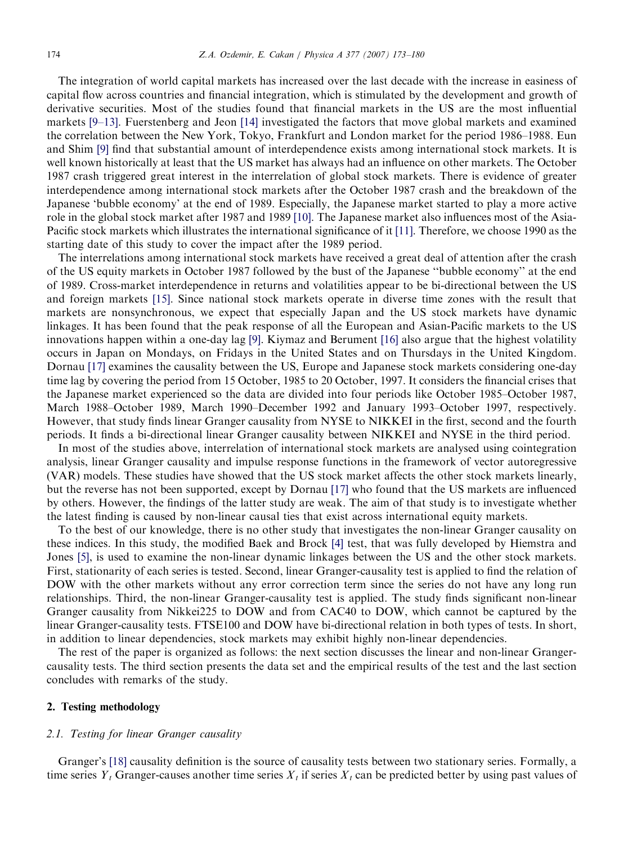The integration of world capital markets has increased over the last decade with the increase in easiness of capital flow across countries and financial integration, which is stimulated by the development and growth of derivative securities. Most of the studies found that financial markets in the US are the most influential markets [\[9–13\].](#page--1-0) Fuerstenberg and Jeon [\[14\]](#page--1-0) investigated the factors that move global markets and examined the correlation between the New York, Tokyo, Frankfurt and London market for the period 1986–1988. Eun and Shim [\[9\]](#page--1-0) find that substantial amount of interdependence exists among international stock markets. It is well known historically at least that the US market has always had an influence on other markets. The October 1987 crash triggered great interest in the interrelation of global stock markets. There is evidence of greater interdependence among international stock markets after the October 1987 crash and the breakdown of the Japanese 'bubble economy' at the end of 1989. Especially, the Japanese market started to play a more active role in the global stock market after 1987 and 1989 [\[10\].](#page--1-0) The Japanese market also influences most of the Asia-Pacific stock markets which illustrates the international significance of it [\[11\]](#page--1-0). Therefore, we choose 1990 as the starting date of this study to cover the impact after the 1989 period.

The interrelations among international stock markets have received a great deal of attention after the crash of the US equity markets in October 1987 followed by the bust of the Japanese ''bubble economy'' at the end of 1989. Cross-market interdependence in returns and volatilities appear to be bi-directional between the US and foreign markets [\[15\].](#page--1-0) Since national stock markets operate in diverse time zones with the result that markets are nonsynchronous, we expect that especially Japan and the US stock markets have dynamic linkages. It has been found that the peak response of all the European and Asian-Pacific markets to the US innovations happen within a one-day lag [\[9\]](#page--1-0). Kiymaz and Berument [\[16\]](#page--1-0) also argue that the highest volatility occurs in Japan on Mondays, on Fridays in the United States and on Thursdays in the United Kingdom. Dornau [\[17\]](#page--1-0) examines the causality between the US, Europe and Japanese stock markets considering one-day time lag by covering the period from 15 October, 1985 to 20 October, 1997. It considers the financial crises that the Japanese market experienced so the data are divided into four periods like October 1985–October 1987, March 1988–October 1989, March 1990–December 1992 and January 1993–October 1997, respectively. However, that study finds linear Granger causality from NYSE to NIKKEI in the first, second and the fourth periods. It finds a bi-directional linear Granger causality between NIKKEI and NYSE in the third period.

In most of the studies above, interrelation of international stock markets are analysed using cointegration analysis, linear Granger causality and impulse response functions in the framework of vector autoregressive (VAR) models. These studies have showed that the US stock market affects the other stock markets linearly, but the reverse has not been supported, except by Dornau [\[17\]](#page--1-0) who found that the US markets are influenced by others. However, the findings of the latter study are weak. The aim of that study is to investigate whether the latest finding is caused by non-linear causal ties that exist across international equity markets.

To the best of our knowledge, there is no other study that investigates the non-linear Granger causality on these indices. In this study, the modified Baek and Brock [\[4\]](#page--1-0) test, that was fully developed by Hiemstra and Jones [\[5\],](#page--1-0) is used to examine the non-linear dynamic linkages between the US and the other stock markets. First, stationarity of each series is tested. Second, linear Granger-causality test is applied to find the relation of DOW with the other markets without any error correction term since the series do not have any long run relationships. Third, the non-linear Granger-causality test is applied. The study finds significant non-linear Granger causality from Nikkei225 to DOW and from CAC40 to DOW, which cannot be captured by the linear Granger-causality tests. FTSE100 and DOW have bi-directional relation in both types of tests. In short, in addition to linear dependencies, stock markets may exhibit highly non-linear dependencies.

The rest of the paper is organized as follows: the next section discusses the linear and non-linear Grangercausality tests. The third section presents the data set and the empirical results of the test and the last section concludes with remarks of the study.

## 2. Testing methodology

#### 2.1. Testing for linear Granger causality

Granger's [\[18\]](#page--1-0) causality definition is the source of causality tests between two stationary series. Formally, a time series  $Y_t$  Granger-causes another time series  $X_t$  if series  $X_t$  can be predicted better by using past values of